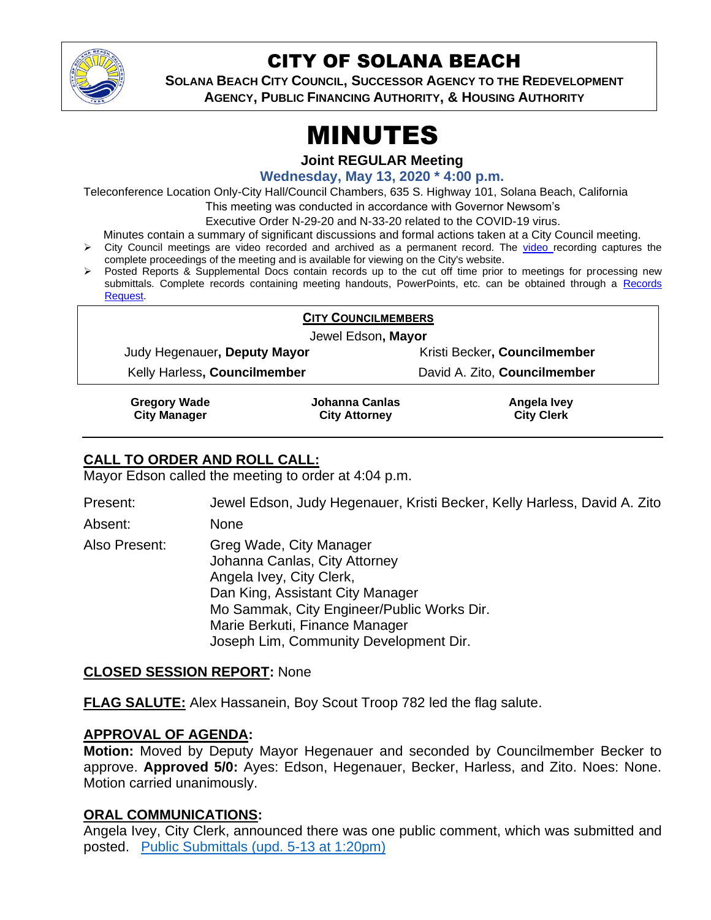

# CITY OF SOLANA BEACH

**SOLANA BEACH CITY COUNCIL, SUCCESSOR AGENCY TO THE REDEVELOPMENT AGENCY, PUBLIC FINANCING AUTHORITY, & HOUSING AUTHORITY**

# MINUTES

**Joint REGULAR Meeting**

**Wednesday, May 13, 2020 \* 4:00 p.m.**

Teleconference Location Only-City Hall/Council Chambers, 635 S. Highway 101, Solana Beach, California

This meeting was conducted in accordance with Governor Newsom's

Executive Order N-29-20 and N-33-20 related to the COVID-19 virus.

Minutes contain a summary of significant discussions and formal actions taken at a City Council meeting.

- ➢ City Council meetings are video recorded and archived as a permanent record. The [video r](https://solanabeach.12milesout.com/#page=1)ecording captures the complete proceedings of the meeting and is available for viewing on the City's website.
- ➢ Posted Reports & Supplemental Docs contain records up to the cut off time prior to meetings for processing new submittals. Complete records containing meeting handouts, PowerPoints, etc. can be obtained through a Records [Request.](http://www.ci.solana-beach.ca.us/index.asp?SEC=F5D45D10-70CE-4291-A27C-7BD633FC6742&Type=B_BASIC)

| <b>CITY COUNCILMEMBERS</b><br>Jewel Edson, Mayor |                                        |                                  |
|--------------------------------------------------|----------------------------------------|----------------------------------|
|                                                  |                                        |                                  |
| Kelly Harless, Councilmember                     |                                        | David A. Zito, Councilmember     |
| <b>Gregory Wade</b><br><b>City Manager</b>       | Johanna Canlas<br><b>City Attorney</b> | Angela Ivey<br><b>City Clerk</b> |

#### **CALL TO ORDER AND ROLL CALL:**

Mayor Edson called the meeting to order at 4:04 p.m.

Present: Jewel Edson, Judy Hegenauer, Kristi Becker, Kelly Harless, David A. Zito

Absent: None

Also Present: Greg Wade, City Manager Johanna Canlas, City Attorney Angela Ivey, City Clerk, Dan King, Assistant City Manager Mo Sammak, City Engineer/Public Works Dir. Marie Berkuti, Finance Manager Joseph Lim, Community Development Dir.

#### **CLOSED SESSION REPORT:** None

**FLAG SALUTE:** Alex Hassanein, Boy Scout Troop 782 led the flag salute.

#### **APPROVAL OF AGENDA:**

**Motion:** Moved by Deputy Mayor Hegenauer and seconded by Councilmember Becker to approve. **Approved 5/0:** Ayes: Edson, Hegenauer, Becker, Harless, and Zito. Noes: None. Motion carried unanimously.

#### **ORAL COMMUNICATIONS:**

Angela Ivey, City Clerk, announced there was one public comment, which was submitted and posted. [Public Submittals \(upd. 5-13 at 1:20pm\)](https://solanabeach.govoffice3.com/vertical/Sites/%7B840804C2-F869-4904-9AE3-720581350CE7%7D/uploads/Public_Submittals_(upd._5-13_at_1255pm)_-_R.pdf)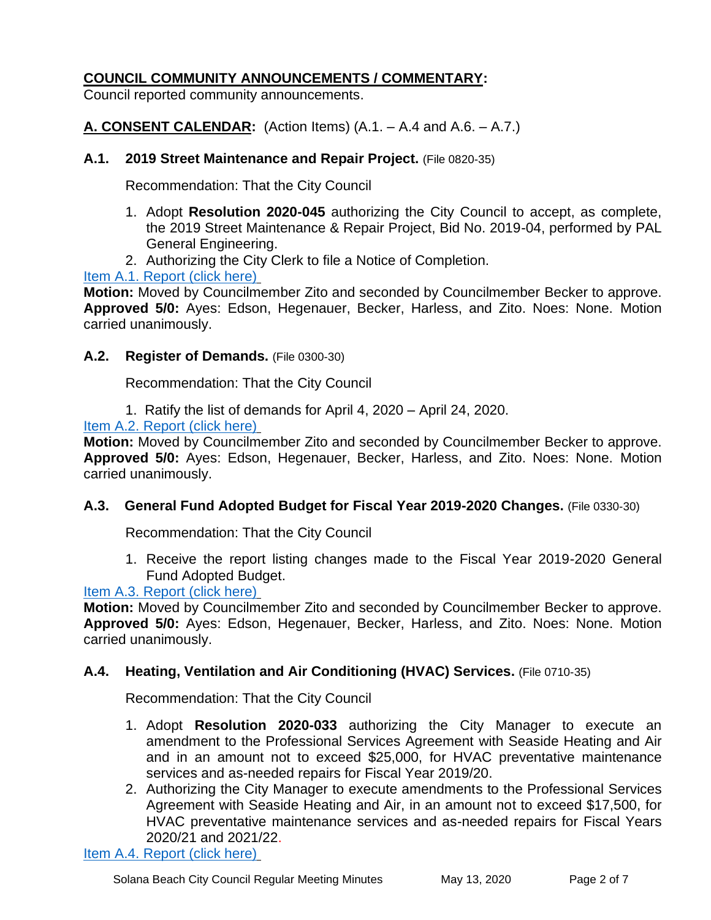#### **COUNCIL COMMUNITY ANNOUNCEMENTS / COMMENTARY:**

Council reported community announcements.

**A. CONSENT CALENDAR:** (Action Items) (A.1. – A.4 and A.6. – A.7.)

#### **A.1. 2019 Street Maintenance and Repair Project.** (File 0820-35)

Recommendation: That the City Council

- 1. Adopt **Resolution 2020-045** authorizing the City Council to accept, as complete, the 2019 Street Maintenance & Repair Project, Bid No. 2019-04, performed by PAL General Engineering.
- 2. Authorizing the City Clerk to file a Notice of Completion.

[Item A.1. Report \(click here\)](https://solanabeach.govoffice3.com/vertical/Sites/%7B840804C2-F869-4904-9AE3-720581350CE7%7D/uploads/Item_A.1._Report_(click_here)_05-13-20_-_O.pdf)

**Motion:** Moved by Councilmember Zito and seconded by Councilmember Becker to approve. **Approved 5/0:** Ayes: Edson, Hegenauer, Becker, Harless, and Zito. Noes: None. Motion carried unanimously.

#### **A.2. Register of Demands.** (File 0300-30)

Recommendation: That the City Council

1. Ratify the list of demands for April 4, 2020 – April 24, 2020.

[Item A.2. Report \(click here\)](https://solanabeach.govoffice3.com/vertical/Sites/%7B840804C2-F869-4904-9AE3-720581350CE7%7D/uploads/Item_A.2._Report_(click_here)_05-13-20_-_O.pdf)

**Motion:** Moved by Councilmember Zito and seconded by Councilmember Becker to approve. **Approved 5/0:** Ayes: Edson, Hegenauer, Becker, Harless, and Zito. Noes: None. Motion carried unanimously.

#### **A.3. General Fund Adopted Budget for Fiscal Year 2019-2020 Changes.** (File 0330-30)

Recommendation: That the City Council

1. Receive the report listing changes made to the Fiscal Year 2019-2020 General Fund Adopted Budget.

#### [Item A.3. Report \(click here\)](https://solanabeach.govoffice3.com/vertical/Sites/%7B840804C2-F869-4904-9AE3-720581350CE7%7D/uploads/Item_A.3._Report_(click_here)_05-13-20_-_O.pdf)

**Motion:** Moved by Councilmember Zito and seconded by Councilmember Becker to approve. **Approved 5/0:** Ayes: Edson, Hegenauer, Becker, Harless, and Zito. Noes: None. Motion carried unanimously.

#### **A.4. Heating, Ventilation and Air Conditioning (HVAC) Services.** (File 0710-35)

Recommendation: That the City Council

- 1. Adopt **Resolution 2020-033** authorizing the City Manager to execute an amendment to the Professional Services Agreement with Seaside Heating and Air and in an amount not to exceed \$25,000, for HVAC preventative maintenance services and as-needed repairs for Fiscal Year 2019/20.
- 2. Authorizing the City Manager to execute amendments to the Professional Services Agreement with Seaside Heating and Air, in an amount not to exceed \$17,500, for HVAC preventative maintenance services and as-needed repairs for Fiscal Years 2020/21 and 2021/22.

[Item A.4. Report \(click here\)](https://solanabeach.govoffice3.com/vertical/Sites/%7B840804C2-F869-4904-9AE3-720581350CE7%7D/uploads/Item_A.4._Report_(click_here)_05-13-20_-_O.pdf)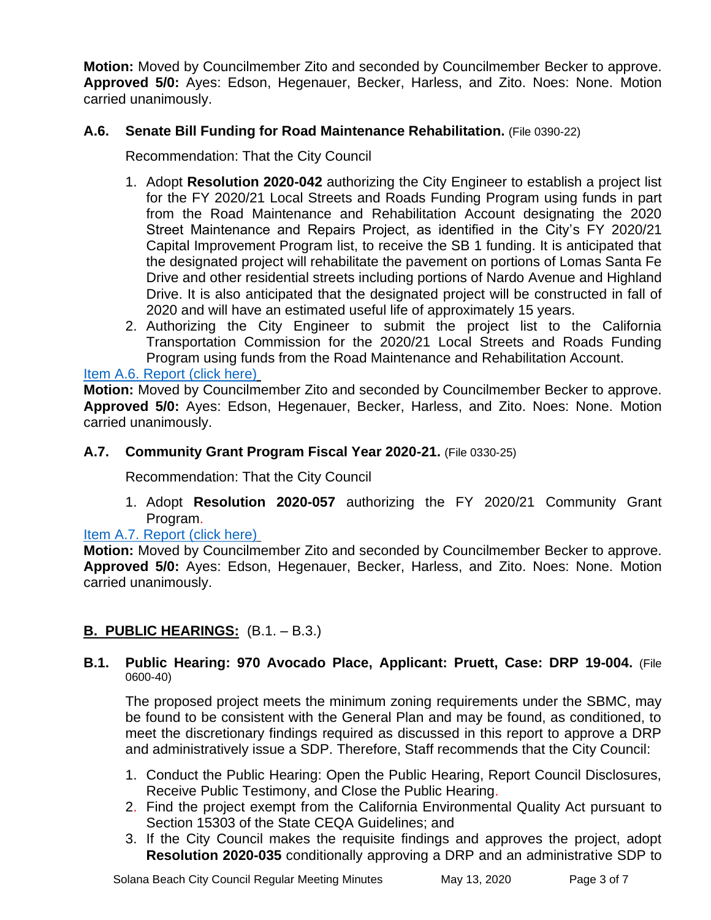**Motion:** Moved by Councilmember Zito and seconded by Councilmember Becker to approve. **Approved 5/0:** Ayes: Edson, Hegenauer, Becker, Harless, and Zito. Noes: None. Motion carried unanimously.

#### **A.6. Senate Bill Funding for Road Maintenance Rehabilitation.** (File 0390-22)

Recommendation: That the City Council

- 1. Adopt **Resolution 2020-042** authorizing the City Engineer to establish a project list for the FY 2020/21 Local Streets and Roads Funding Program using funds in part from the Road Maintenance and Rehabilitation Account designating the 2020 Street Maintenance and Repairs Project, as identified in the City's FY 2020/21 Capital Improvement Program list, to receive the SB 1 funding. It is anticipated that the designated project will rehabilitate the pavement on portions of Lomas Santa Fe Drive and other residential streets including portions of Nardo Avenue and Highland Drive. It is also anticipated that the designated project will be constructed in fall of 2020 and will have an estimated useful life of approximately 15 years.
- 2. Authorizing the City Engineer to submit the project list to the California Transportation Commission for the 2020/21 Local Streets and Roads Funding Program using funds from the Road Maintenance and Rehabilitation Account.

#### [Item A.6. Report \(click here\)](https://solanabeach.govoffice3.com/vertical/Sites/%7B840804C2-F869-4904-9AE3-720581350CE7%7D/uploads/Item_A.6._Report_(click_here)_05-13-20_-_O.pdf)

**Motion:** Moved by Councilmember Zito and seconded by Councilmember Becker to approve. **Approved 5/0:** Ayes: Edson, Hegenauer, Becker, Harless, and Zito. Noes: None. Motion carried unanimously.

#### **A.7. Community Grant Program Fiscal Year 2020-21.** (File 0330-25)

Recommendation: That the City Council

1. Adopt **Resolution 2020-057** authorizing the FY 2020/21 Community Grant Program.

#### [Item A.7. Report \(click here\)](https://solanabeach.govoffice3.com/vertical/Sites/%7B840804C2-F869-4904-9AE3-720581350CE7%7D/uploads/Item_A.7._Report_(click_here)_05-13-20_-_O.pdf)

**Motion:** Moved by Councilmember Zito and seconded by Councilmember Becker to approve. **Approved 5/0:** Ayes: Edson, Hegenauer, Becker, Harless, and Zito. Noes: None. Motion carried unanimously.

### **B. PUBLIC HEARINGS:** (B.1. – B.3.)

#### **B.1. Public Hearing: 970 Avocado Place, Applicant: Pruett, Case: DRP 19-004.** (File 0600-40)

The proposed project meets the minimum zoning requirements under the SBMC, may be found to be consistent with the General Plan and may be found, as conditioned, to meet the discretionary findings required as discussed in this report to approve a DRP and administratively issue a SDP. Therefore, Staff recommends that the City Council:

- 1. Conduct the Public Hearing: Open the Public Hearing, Report Council Disclosures, Receive Public Testimony, and Close the Public Hearing.
- 2. Find the project exempt from the California Environmental Quality Act pursuant to Section 15303 of the State CEQA Guidelines; and
- 3. If the City Council makes the requisite findings and approves the project, adopt **Resolution 2020-035** conditionally approving a DRP and an administrative SDP to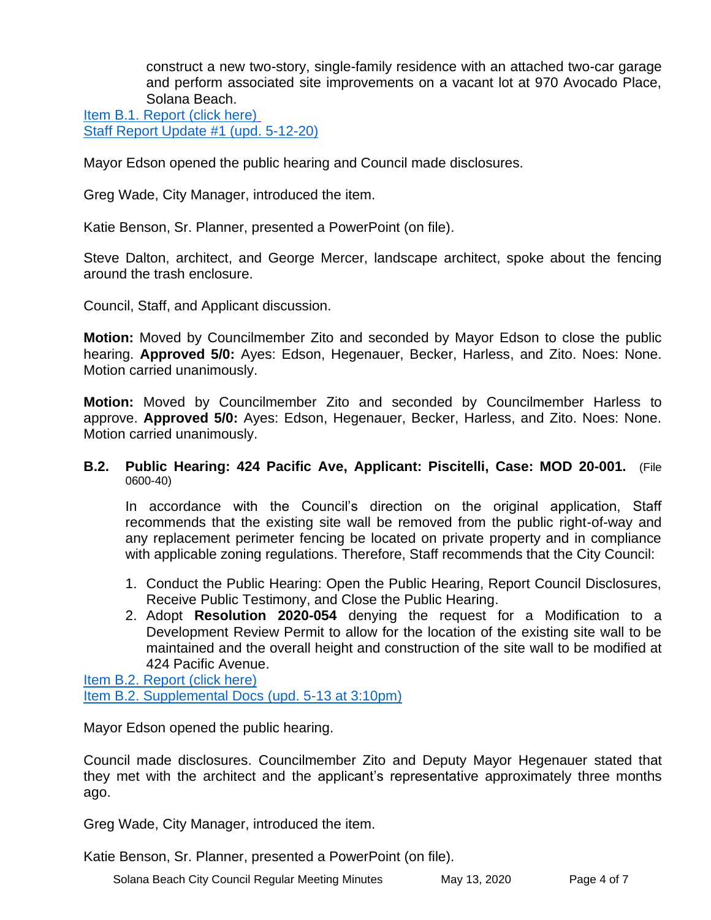construct a new two-story, single-family residence with an attached two-car garage and perform associated site improvements on a vacant lot at 970 Avocado Place, Solana Beach.

[Item B.1. Report \(click here\)](https://solanabeach.govoffice3.com/vertical/Sites/%7B840804C2-F869-4904-9AE3-720581350CE7%7D/uploads/Item_B.1._Report_(click_here)_05-13-20_-_O.pdf) [Staff Report Update #1 \(upd. 5-12-20\)](https://solanabeach.govoffice3.com/vertical/Sites/%7B840804C2-F869-4904-9AE3-720581350CE7%7D/uploads/Item_B.1._Updated_Report_1_(upd._5-12-20)_-_O.pdf)

Mayor Edson opened the public hearing and Council made disclosures.

Greg Wade, City Manager, introduced the item.

Katie Benson, Sr. Planner, presented a PowerPoint (on file).

Steve Dalton, architect, and George Mercer, landscape architect, spoke about the fencing around the trash enclosure.

Council, Staff, and Applicant discussion.

**Motion:** Moved by Councilmember Zito and seconded by Mayor Edson to close the public hearing. **Approved 5/0:** Ayes: Edson, Hegenauer, Becker, Harless, and Zito. Noes: None. Motion carried unanimously.

**Motion:** Moved by Councilmember Zito and seconded by Councilmember Harless to approve. **Approved 5/0:** Ayes: Edson, Hegenauer, Becker, Harless, and Zito. Noes: None. Motion carried unanimously.

#### **B.2. Public Hearing: 424 Pacific Ave, Applicant: Piscitelli, Case: MOD 20-001.** (File 0600-40)

In accordance with the Council's direction on the original application, Staff recommends that the existing site wall be removed from the public right-of-way and any replacement perimeter fencing be located on private property and in compliance with applicable zoning regulations. Therefore, Staff recommends that the City Council:

- 1. Conduct the Public Hearing: Open the Public Hearing, Report Council Disclosures, Receive Public Testimony, and Close the Public Hearing.
- 2. Adopt **Resolution 2020-054** denying the request for a Modification to a Development Review Permit to allow for the location of the existing site wall to be maintained and the overall height and construction of the site wall to be modified at 424 Pacific Avenue.

[Item B.2. Report \(click here\)](https://solanabeach.govoffice3.com/vertical/Sites/%7B840804C2-F869-4904-9AE3-720581350CE7%7D/uploads/Item_B.2._Report_(click_here)_05-13-20_-_O.pdf) [Item B.2. Supplemental Docs \(upd. 5-13 at 3:10pm\)](https://solanabeach.govoffice3.com/vertical/Sites/%7B840804C2-F869-4904-9AE3-720581350CE7%7D/uploads/Item_B.2._Supplemental_Docs_(Upd._5-13_at_3pm)_-_O.pdf)

Mayor Edson opened the public hearing.

Council made disclosures. Councilmember Zito and Deputy Mayor Hegenauer stated that they met with the architect and the applicant's representative approximately three months ago.

Greg Wade, City Manager, introduced the item.

Katie Benson, Sr. Planner, presented a PowerPoint (on file).

Solana Beach City Council Regular Meeting Minutes May 13, 2020 Page 4 of 7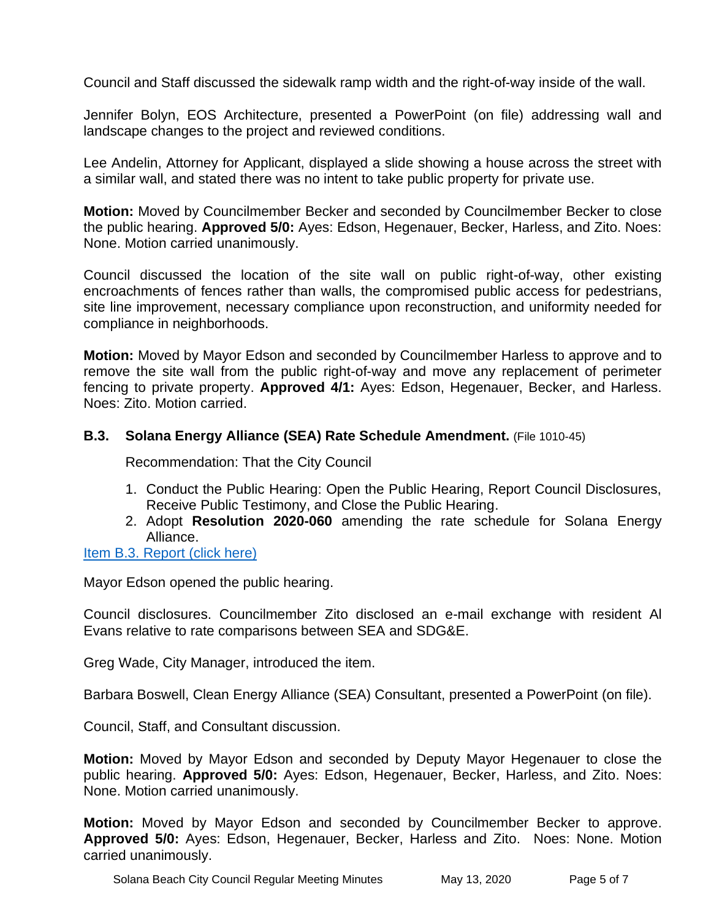Council and Staff discussed the sidewalk ramp width and the right-of-way inside of the wall.

Jennifer Bolyn, EOS Architecture, presented a PowerPoint (on file) addressing wall and landscape changes to the project and reviewed conditions.

Lee Andelin, Attorney for Applicant, displayed a slide showing a house across the street with a similar wall, and stated there was no intent to take public property for private use.

**Motion:** Moved by Councilmember Becker and seconded by Councilmember Becker to close the public hearing. **Approved 5/0:** Ayes: Edson, Hegenauer, Becker, Harless, and Zito. Noes: None. Motion carried unanimously.

Council discussed the location of the site wall on public right-of-way, other existing encroachments of fences rather than walls, the compromised public access for pedestrians, site line improvement, necessary compliance upon reconstruction, and uniformity needed for compliance in neighborhoods.

**Motion:** Moved by Mayor Edson and seconded by Councilmember Harless to approve and to remove the site wall from the public right-of-way and move any replacement of perimeter fencing to private property. **Approved 4/1:** Ayes: Edson, Hegenauer, Becker, and Harless. Noes: Zito. Motion carried.

#### **B.3. Solana Energy Alliance (SEA) Rate Schedule Amendment.** (File 1010-45)

Recommendation: That the City Council

- 1. Conduct the Public Hearing: Open the Public Hearing, Report Council Disclosures, Receive Public Testimony, and Close the Public Hearing.
- 2. Adopt **Resolution 2020-060** amending the rate schedule for Solana Energy Alliance.

#### [Item B.3. Report \(click here\)](https://solanabeach.govoffice3.com/vertical/Sites/%7B840804C2-F869-4904-9AE3-720581350CE7%7D/uploads/Item_B.3._Report_(click_here)_05-13-20_-_O.pdf)

Mayor Edson opened the public hearing.

Council disclosures. Councilmember Zito disclosed an e-mail exchange with resident Al Evans relative to rate comparisons between SEA and SDG&E.

Greg Wade, City Manager, introduced the item.

Barbara Boswell, Clean Energy Alliance (SEA) Consultant, presented a PowerPoint (on file).

Council, Staff, and Consultant discussion.

**Motion:** Moved by Mayor Edson and seconded by Deputy Mayor Hegenauer to close the public hearing. **Approved 5/0:** Ayes: Edson, Hegenauer, Becker, Harless, and Zito. Noes: None. Motion carried unanimously.

**Motion:** Moved by Mayor Edson and seconded by Councilmember Becker to approve. **Approved 5/0:** Ayes: Edson, Hegenauer, Becker, Harless and Zito. Noes: None. Motion carried unanimously.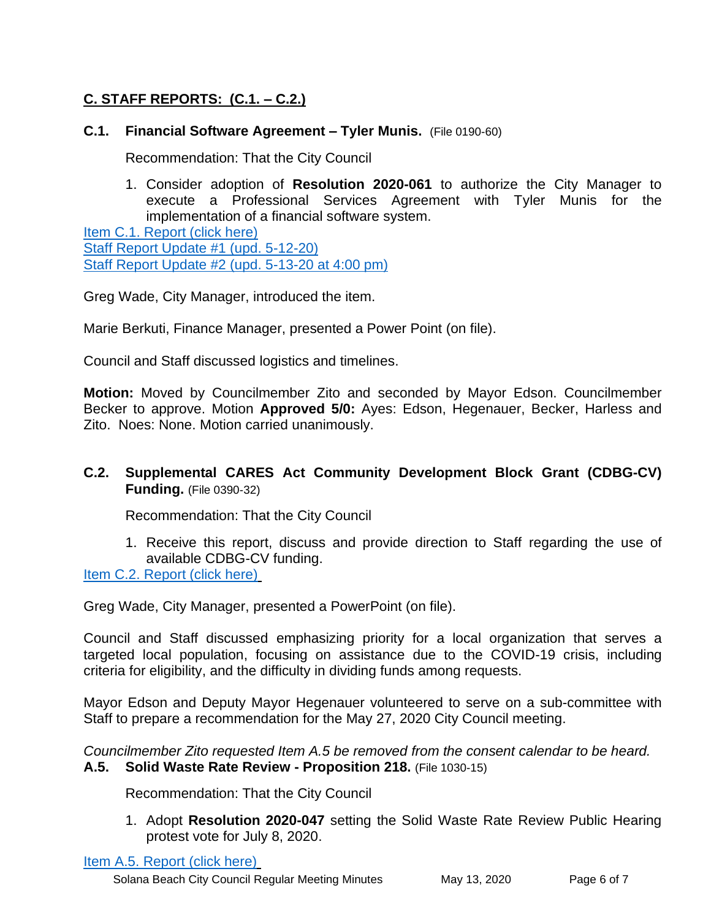## **C. STAFF REPORTS: (C.1. – C.2.)**

#### **C.1. Financial Software Agreement – Tyler Munis.** (File 0190-60)

Recommendation: That the City Council

1. Consider adoption of **Resolution 2020-061** to authorize the City Manager to execute a Professional Services Agreement with Tyler Munis for the implementation of a financial software system.

[Item C.1. Report \(click here\)](https://solanabeach.govoffice3.com/vertical/Sites/%7B840804C2-F869-4904-9AE3-720581350CE7%7D/uploads/Item_C.1._Report_(click_here)_05-13-20_-_O.pdf) [Staff Report Update #1 \(upd. 5-12-20\)](https://solanabeach.govoffice3.com/vertical/Sites/%7B840804C2-F869-4904-9AE3-720581350CE7%7D/uploads/Item_C.1._Updated_Report_1_(upd._5-12-20)_-_O.pdf) [Staff Report Update #2 \(upd. 5-13-20 at 4:00 pm\)](https://solanabeach.govoffice3.com/vertical/Sites/%7B840804C2-F869-4904-9AE3-720581350CE7%7D/uploads/Item_C.1._Updated_Report_2_(upd._5-13-20_at_400pm)_-_O.pdf)

Greg Wade, City Manager, introduced the item.

Marie Berkuti, Finance Manager, presented a Power Point (on file).

Council and Staff discussed logistics and timelines.

**Motion:** Moved by Councilmember Zito and seconded by Mayor Edson. Councilmember Becker to approve. Motion **Approved 5/0:** Ayes: Edson, Hegenauer, Becker, Harless and Zito. Noes: None. Motion carried unanimously.

#### **C.2. Supplemental CARES Act Community Development Block Grant (CDBG-CV) Funding.** (File 0390-32)

Recommendation: That the City Council

1. Receive this report, discuss and provide direction to Staff regarding the use of available CDBG-CV funding.

[Item C.2. Report \(click here\)](https://solanabeach.govoffice3.com/vertical/Sites/%7B840804C2-F869-4904-9AE3-720581350CE7%7D/uploads/Item_C.2._Report_(click_here)_05-13-20_-_O.pdf)

Greg Wade, City Manager, presented a PowerPoint (on file).

Council and Staff discussed emphasizing priority for a local organization that serves a targeted local population, focusing on assistance due to the COVID-19 crisis, including criteria for eligibility, and the difficulty in dividing funds among requests.

Mayor Edson and Deputy Mayor Hegenauer volunteered to serve on a sub-committee with Staff to prepare a recommendation for the May 27, 2020 City Council meeting.

*Councilmember Zito requested Item A.5 be removed from the consent calendar to be heard.* **A.5. Solid Waste Rate Review - Proposition 218.** (File 1030-15)

Recommendation: That the City Council

1. Adopt **Resolution 2020-047** setting the Solid Waste Rate Review Public Hearing protest vote for July 8, 2020.

[Item A.5. Report \(click here\)](https://solanabeach.govoffice3.com/vertical/Sites/%7B840804C2-F869-4904-9AE3-720581350CE7%7D/uploads/Item_A.5._Report_(click_here)_05-13-20_-_O.pdf)